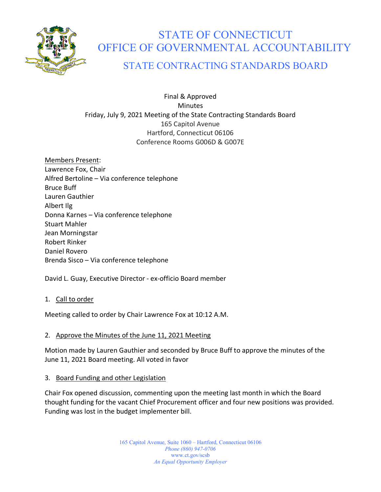

# STATE OF CONNECTICUT OFFICE OF GOVERNMENTAL ACCOUNTABILITY

# STATE CONTRACTING STANDARDS BOARD

Final & Approved Minutes Friday, July 9, 2021 Meeting of the State Contracting Standards Board 165 Capitol Avenue Hartford, Connecticut 06106 Conference Rooms G006D & G007E

Members Present: Lawrence Fox, Chair Alfred Bertoline – Via conference telephone Bruce Buff Lauren Gauthier Albert Ilg Donna Karnes – Via conference telephone Stuart Mahler Jean Morningstar Robert Rinker Daniel Rovero Brenda Sisco – Via conference telephone

David L. Guay, Executive Director - ex-officio Board member

## 1. Call to order

Meeting called to order by Chair Lawrence Fox at 10:12 A.M.

# 2. Approve the Minutes of the June 11, 2021 Meeting

Motion made by Lauren Gauthier and seconded by Bruce Buff to approve the minutes of the June 11, 2021 Board meeting. All voted in favor

## 3. Board Funding and other Legislation

Chair Fox opened discussion, commenting upon the meeting last month in which the Board thought funding for the vacant Chief Procurement officer and four new positions was provided. Funding was lost in the budget implementer bill.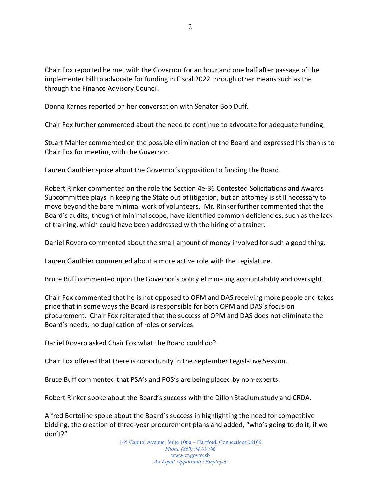Chair Fox reported he met with the Governor for an hour and one half after passage of the implementer bill to advocate for funding in Fiscal 2022 through other means such as the through the Finance Advisory Council.

Donna Karnes reported on her conversation with Senator Bob Duff.

Chair Fox further commented about the need to continue to advocate for adequate funding.

Stuart Mahler commented on the possible elimination of the Board and expressed his thanks to Chair Fox for meeting with the Governor.

Lauren Gauthier spoke about the Governor's opposition to funding the Board.

Robert Rinker commented on the role the Section 4e-36 Contested Solicitations and Awards Subcommittee plays in keeping the State out of litigation, but an attorney is still necessary to move beyond the bare minimal work of volunteers. Mr. Rinker further commented that the Board's audits, though of minimal scope, have identified common deficiencies, such as the lack of training, which could have been addressed with the hiring of a trainer.

Daniel Rovero commented about the small amount of money involved for such a good thing.

Lauren Gauthier commented about a more active role with the Legislature.

Bruce Buff commented upon the Governor's policy eliminating accountability and oversight.

Chair Fox commented that he is not opposed to OPM and DAS receiving more people and takes pride that in some ways the Board is responsible for both OPM and DAS's focus on procurement. Chair Fox reiterated that the success of OPM and DAS does not eliminate the Board's needs, no duplication of roles or services.

Daniel Rovero asked Chair Fox what the Board could do?

Chair Fox offered that there is opportunity in the September Legislative Session.

Bruce Buff commented that PSA's and POS's are being placed by non-experts.

Robert Rinker spoke about the Board's success with the Dillon Stadium study and CRDA.

Alfred Bertoline spoke about the Board's success in highlighting the need for competitive bidding, the creation of three-year procurement plans and added, "who's going to do it, if we don't?"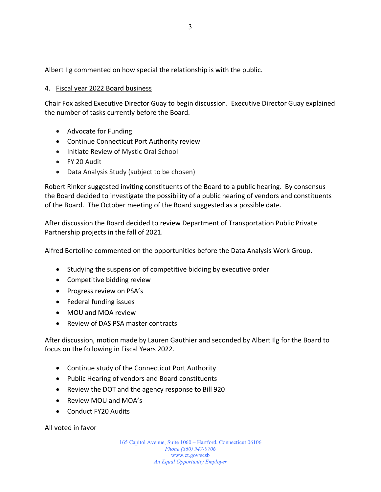Albert Ilg commented on how special the relationship is with the public.

## 4. Fiscal year 2022 Board business

Chair Fox asked Executive Director Guay to begin discussion. Executive Director Guay explained the number of tasks currently before the Board.

- Advocate for Funding
- Continue Connecticut Port Authority review
- Initiate Review of Mystic Oral School
- FY 20 Audit
- Data Analysis Study (subject to be chosen)

Robert Rinker suggested inviting constituents of the Board to a public hearing. By consensus the Board decided to investigate the possibility of a public hearing of vendors and constituents of the Board. The October meeting of the Board suggested as a possible date.

After discussion the Board decided to review Department of Transportation Public Private Partnership projects in the fall of 2021.

Alfred Bertoline commented on the opportunities before the Data Analysis Work Group.

- Studying the suspension of competitive bidding by executive order
- Competitive bidding review
- Progress review on PSA's
- Federal funding issues
- MOU and MOA review
- Review of DAS PSA master contracts

After discussion, motion made by Lauren Gauthier and seconded by Albert Ilg for the Board to focus on the following in Fiscal Years 2022.

- Continue study of the Connecticut Port Authority
- Public Hearing of vendors and Board constituents
- Review the DOT and the agency response to Bill 920
- Review MOU and MOA's
- Conduct FY20 Audits

All voted in favor

165 Capitol Avenue, Suite 1060 – Hartford, Connecticut 06106 *Phone (860) 947-0706*  www.ct.gov/scsb *An Equal Opportunity Employer*